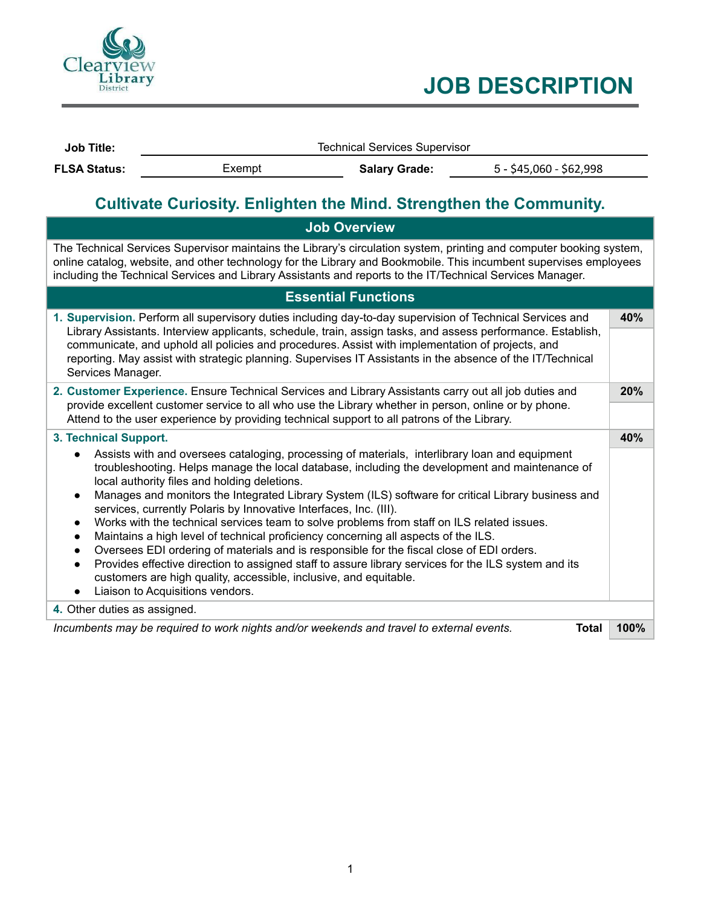

# **JOB DESCRIPTION**

| <b>Job Title:</b>   | <b>Technical Services Supervisor</b> |                      |                         |  |
|---------------------|--------------------------------------|----------------------|-------------------------|--|
| <b>FLSA Status:</b> | Exempt                               | <b>Salary Grade:</b> | 5 - \$45,060 - \$62,998 |  |
|                     |                                      |                      |                         |  |

# **Cultivate Curiosity. Enlighten the Mind. Strengthen the Community.**

| <b>Job Overview</b>                                                                                                                                                                                                                                                                                                                                                                                                                                                                                                                                                                                                                                                                                                                                                                                                                                                                                                            |      |  |                       |  |
|--------------------------------------------------------------------------------------------------------------------------------------------------------------------------------------------------------------------------------------------------------------------------------------------------------------------------------------------------------------------------------------------------------------------------------------------------------------------------------------------------------------------------------------------------------------------------------------------------------------------------------------------------------------------------------------------------------------------------------------------------------------------------------------------------------------------------------------------------------------------------------------------------------------------------------|------|--|-----------------------|--|
| The Technical Services Supervisor maintains the Library's circulation system, printing and computer booking system,<br>online catalog, website, and other technology for the Library and Bookmobile. This incumbent supervises employees<br>including the Technical Services and Library Assistants and reports to the IT/Technical Services Manager.                                                                                                                                                                                                                                                                                                                                                                                                                                                                                                                                                                          |      |  |                       |  |
| <b>Essential Functions</b>                                                                                                                                                                                                                                                                                                                                                                                                                                                                                                                                                                                                                                                                                                                                                                                                                                                                                                     |      |  |                       |  |
| 1. Supervision. Perform all supervisory duties including day-to-day supervision of Technical Services and<br>Library Assistants. Interview applicants, schedule, train, assign tasks, and assess performance. Establish,<br>communicate, and uphold all policies and procedures. Assist with implementation of projects, and<br>reporting. May assist with strategic planning. Supervises IT Assistants in the absence of the IT/Technical<br>Services Manager.                                                                                                                                                                                                                                                                                                                                                                                                                                                                |      |  |                       |  |
| 2. Customer Experience. Ensure Technical Services and Library Assistants carry out all job duties and<br>provide excellent customer service to all who use the Library whether in person, online or by phone.<br>Attend to the user experience by providing technical support to all patrons of the Library.                                                                                                                                                                                                                                                                                                                                                                                                                                                                                                                                                                                                                   |      |  |                       |  |
|                                                                                                                                                                                                                                                                                                                                                                                                                                                                                                                                                                                                                                                                                                                                                                                                                                                                                                                                |      |  | 3. Technical Support. |  |
| Assists with and oversees cataloging, processing of materials, interlibrary loan and equipment<br>troubleshooting. Helps manage the local database, including the development and maintenance of<br>local authority files and holding deletions.<br>Manages and monitors the Integrated Library System (ILS) software for critical Library business and<br>services, currently Polaris by Innovative Interfaces, Inc. (III).<br>Works with the technical services team to solve problems from staff on ILS related issues.<br>Maintains a high level of technical proficiency concerning all aspects of the ILS.<br>Oversees EDI ordering of materials and is responsible for the fiscal close of EDI orders.<br>Provides effective direction to assigned staff to assure library services for the ILS system and its<br>customers are high quality, accessible, inclusive, and equitable.<br>Liaison to Acquisitions vendors. |      |  |                       |  |
| 4. Other duties as assigned.                                                                                                                                                                                                                                                                                                                                                                                                                                                                                                                                                                                                                                                                                                                                                                                                                                                                                                   |      |  |                       |  |
| Incumbents may be required to work nights and/or weekends and travel to external events.<br><b>Total</b>                                                                                                                                                                                                                                                                                                                                                                                                                                                                                                                                                                                                                                                                                                                                                                                                                       | 100% |  |                       |  |